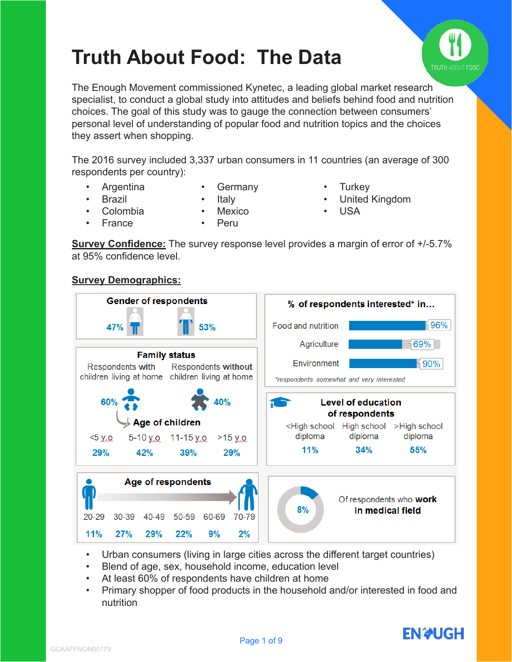

# **Truth About Food: The Data**

The Enough Movement commissioned Kynetec, a leading global market research specialist, to conduct a global study into attitudes and beliefs behind food and nutrition choices. The goal of this study was to gauge the connection between consumers' personal level of understanding of popular food and nutrition topics and the choices they assert when shopping.

The 2016 survey included 3,337 urban consumers in 11 countries (an average of 300 respondents per country):

- Argentina **Brazil**
- Germany
- **Turkey**

• USA

• United Kingdom

- Colombia • France
- **Mexico** 
	- Peru

**Italy** 

**Survey Confidence:** The survey response level provides a margin of error of  $+/-5.7\%$ at 95% confidence level.

# **Survey Demographics:**



- Urban consumers (living in large cities across the different target countries)
- Blend of age, sex, household income, education level
- At least 60% of respondents have children at home
- Primary shopper of food products in the household and/or interested in food and nutrition

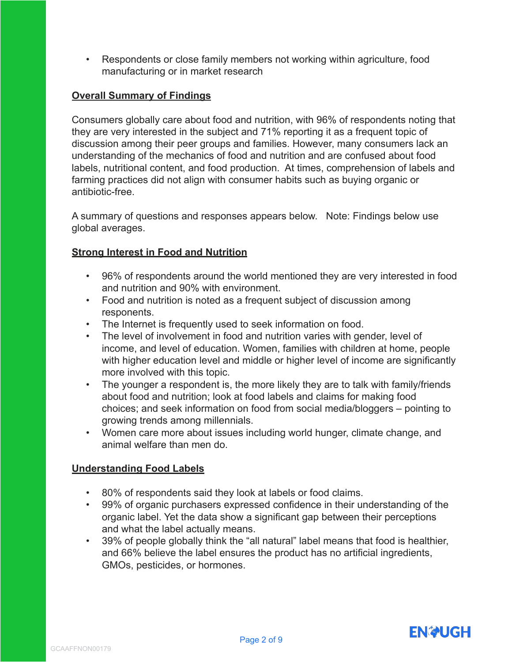• Respondents or close family members not working within agriculture, food manufacturing or in market research

# **Overall Summary of Findings**

Consumers globally care about food and nutrition, with 96% of respondents noting that they are very interested in the subject and 71% reporting it as a frequent topic of discussion among their peer groups and families. However, many consumers lack an understanding of the mechanics of food and nutrition and are confused about food labels, nutritional content, and food production. At times, comprehension of labels and farming practices did not align with consumer habits such as buying organic or antibiotic-free.

A summary of questions and responses appears below. Note: Findings below use global averages.

#### **Strong Interest in Food and Nutrition**

- 96% of respondents around the world mentioned they are very interested in food and nutrition and 90% with environment.
- Food and nutrition is noted as a frequent subject of discussion among responents.
- The Internet is frequently used to seek information on food.
- The level of involvement in food and nutrition varies with gender, level of income, and level of education. Women, families with children at home, people with higher education level and middle or higher level of income are significantly more involved with this topic.
- The younger a respondent is, the more likely they are to talk with family/friends about food and nutrition; look at food labels and claims for making food choices; and seek information on food from social media/bloggers – pointing to growing trends among millennials.
- Women care more about issues including world hunger, climate change, and animal welfare than men do.

# **Understanding Food Labels**

- 80% of respondents said they look at labels or food claims.
- 99% of organic purchasers expressed confidence in their understanding of the organic label. Yet the data show a significant gap between their perceptions and what the label actually means.
- 39% of people globally think the "all natural" label means that food is healthier, and 66% believe the label ensures the product has no artificial ingredients, GMOs, pesticides, or hormones.

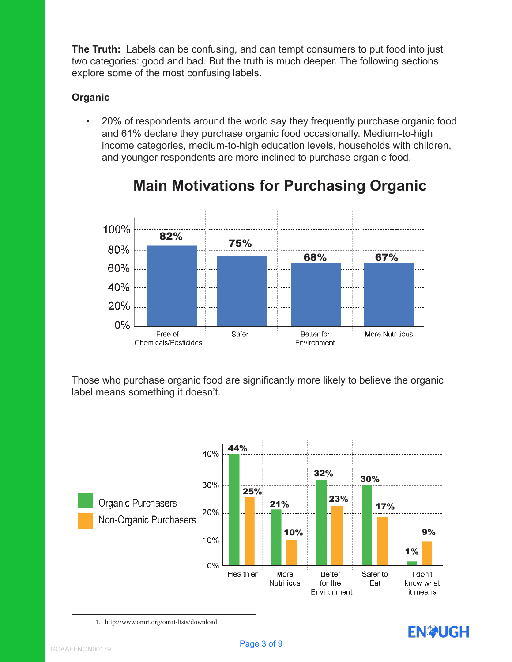**The Truth:** Labels can be confusing, and can tempt consumers to put food into just two categories: good and bad. But the truth is much deeper. The following sections explore some of the most confusing labels.

# **Organic**

• 20% of respondents around the world say they frequently purchase organic food and 61% declare they purchase organic food occasionally. Medium-to-high income categories, medium-to-high education levels, households with children, and younger respondents are more inclined to purchase organic food.



# **Main Motivations for Purchasing Organic**

Those who purchase organic food are significantly more likely to believe the organic label means something it doesn't.



1. http://www.omri.org/omri-lists/download

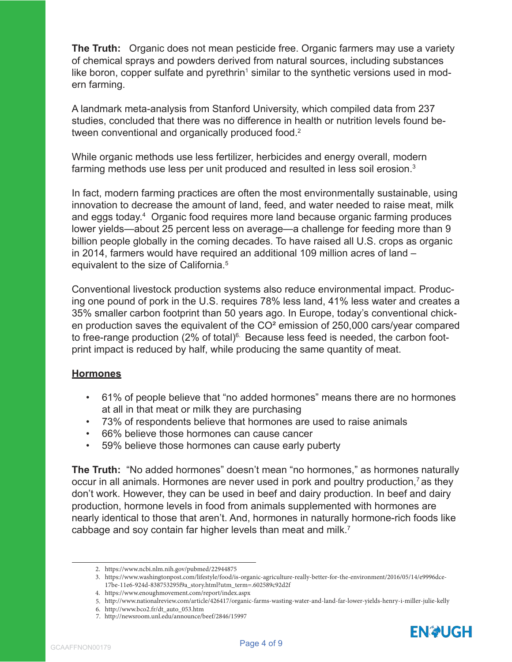**The Truth:** Organic does not mean pesticide free. Organic farmers may use a variety of chemical sprays and powders derived from natural sources, including substances like boron, copper sulfate and pyrethrin<sup>1</sup> similar to the synthetic versions used in modern farming.

A landmark meta-analysis from Stanford University, which compiled data from 237 studies, concluded that there was no difference in health or nutrition levels found between conventional and organically produced food.<sup>2</sup>

While organic methods use less fertilizer, herbicides and energy overall, modern farming methods use less per unit produced and resulted in less soil erosion.<sup>3</sup>

In fact, modern farming practices are often the most environmentally sustainable, using innovation to decrease the amount of land, feed, and water needed to raise meat, milk and eggs today.<sup>4</sup> Organic food requires more land because organic farming produces lower yields—about 25 percent less on average—a challenge for feeding more than 9 billion people globally in the coming decades. To have raised all U.S. crops as organic in 2014, farmers would have required an additional 109 million acres of land – equivalent to the size of California.<sup>5</sup>

Conventional livestock production systems also reduce environmental impact. Producing one pound of pork in the U.S. requires 78% less land, 41% less water and creates a 35% smaller carbon footprint than 50 years ago. In Europe, today's conventional chicken production saves the equivalent of the CO² emission of 250,000 cars/year compared to free-range production  $(2\% \text{ of total})^6$ . Because less feed is needed, the carbon footprint impact is reduced by half, while producing the same quantity of meat.

#### **Hormones**

- 61% of people believe that "no added hormones" means there are no hormones at all in that meat or milk they are purchasing
- 73% of respondents believe that hormones are used to raise animals
- 66% believe those hormones can cause cancer
- 59% believe those hormones can cause early puberty

**The Truth:** "No added hormones" doesn't mean "no hormones," as hormones naturally occur in all animals. Hormones are never used in pork and poultry production,<sup>7</sup> as they don't work. However, they can be used in beef and dairy production. In beef and dairy production, hormone levels in food from animals supplemented with hormones are nearly identical to those that aren't. And, hormones in naturally hormone-rich foods like cabbage and soy contain far higher levels than meat and milk.<sup>7</sup>

<sup>2.</sup> https://www.ncbi.nlm.nih.gov/pubmed/22944875

<sup>3.</sup> https://www.washingtonpost.com/lifestyle/food/is-organic-agriculture-really-better-for-the-environment/2016/05/14/e9996dce- 17be-11e6-924d-838753295f9a\_story.html?utm\_term=.602589c92d2f

<sup>4.</sup> https://www.enoughmovement.com/report/index.aspx

<sup>5.</sup> http://www.nationalreview.com/article/426417/organic-farms-wasting-water-and-land-far-lower-yields-henry-i-miller-julie-kelly

<sup>6.</sup> http://www.bco2.fr/dt\_auto\_053.htm

<sup>7.</sup> http://newsroom.unl.edu/announce/beef/2846/15997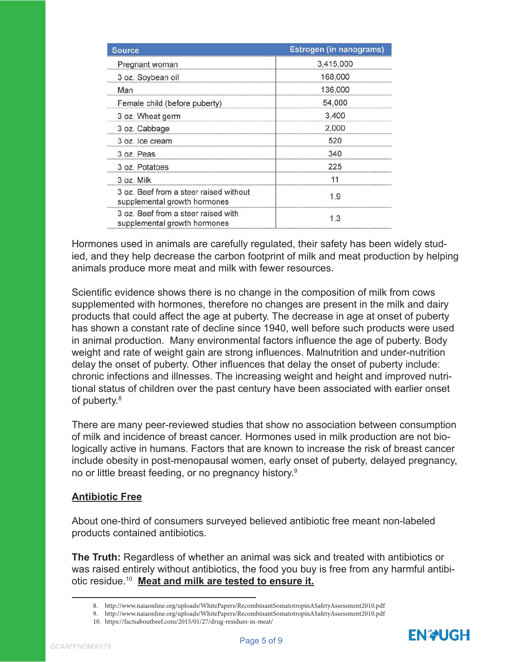| Source                                                                 | Estrogen (in nanograms) |  |
|------------------------------------------------------------------------|-------------------------|--|
| Pregnant woman                                                         | 3,415,000               |  |
| 3 oz. Soybean oil                                                      | 168,000                 |  |
| Man                                                                    | 136,000                 |  |
| Female child (before puberty)                                          | 54,000                  |  |
| 3 oz. Wheat germ                                                       | 3,400                   |  |
| 3 oz. Cabbage                                                          | 2,000                   |  |
| 3 oz. Ice cream                                                        | 520                     |  |
| 3 oz. Peas                                                             | 340                     |  |
| 3 oz. Potatoes                                                         | 225                     |  |
| 3 oz. Milk                                                             |                         |  |
| 3 oz. Beef from a steer raised without<br>supplemental growth hormones | 9                       |  |
| 3 oz. Beef from a steer raised with<br>supplemental growth hormones    |                         |  |

Hormones used in animals are carefully regulated, their safety has been widely studied, and they help decrease the carbon footprint of milk and meat production by helping animals produce more meat and milk with fewer resources.

Scientific evidence shows there is no change in the composition of milk from cows supplemented with hormones, therefore no changes are present in the milk and dairy products that could affect the age at puberty. The decrease in age at onset of puberty has shown a constant rate of decline since 1940, well before such products were used in animal production. Many environmental factors influence the age of puberty. Body weight and rate of weight gain are strong influences. Malnutrition and under-nutrition delay the onset of puberty. Other influences that delay the onset of puberty include: chronic infections and illnesses. The increasing weight and height and improved nutritional status of children over the past century have been associated with earlier onset of puberty.<sup>8</sup>

There are many peer-reviewed studies that show no association between consumption of milk and incidence of breast cancer. Hormones used in milk production are not biologically active in humans. Factors that are known to increase the risk of breast cancer include obesity in post-menopausal women, early onset of puberty, delayed pregnancy, no or little breast feeding, or no pregnancy history.<sup>9</sup>

#### **Antibiotic Free**

About one-third of consumers surveyed believed antibiotic free meant non-labeled products contained antibiotics.

**The Truth:** Regardless of whether an animal was sick and treated with antibiotics or was raised entirely without antibiotics, the food you buy is free from any harmful antibiotic residue.<sup>10</sup> **Meat and milk are tested to ensure it.**

<sup>8.</sup> http://www.naiaonline.org/uploads/WhitePapers/RecombinantSomatotropinASafetyAssessment2010.pdf

<sup>9.</sup> http://www.naiaonline.org/uploads/WhitePapers/RecombinantSomatotropinASafetyAssessment2010.pdf

<sup>10.</sup> https://factsaboutbeef.com/2015/01/27/drug-residues-in-meat/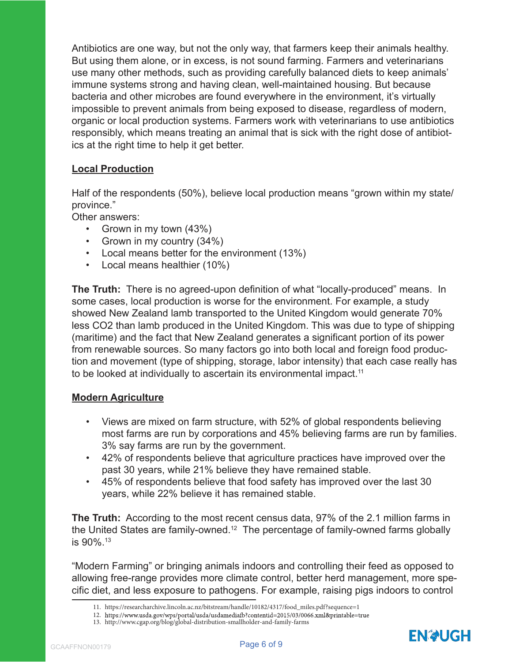Antibiotics are one way, but not the only way, that farmers keep their animals healthy. But using them alone, or in excess, is not sound farming. Farmers and veterinarians use many other methods, such as providing carefully balanced diets to keep animals' immune systems strong and having clean, well-maintained housing. But because bacteria and other microbes are found everywhere in the environment, it's virtually impossible to prevent animals from being exposed to disease, regardless of modern, organic or local production systems. Farmers work with veterinarians to use antibiotics responsibly, which means treating an animal that is sick with the right dose of antibiotics at the right time to help it get better.

# **Local Production**

Half of the respondents (50%), believe local production means "grown within my state/ province."

Other answers:

- Grown in my town (43%)
- Grown in my country (34%)
- Local means better for the environment (13%)
- Local means healthier (10%)

**The Truth:** There is no agreed-upon definition of what "locally-produced" means. In some cases, local production is worse for the environment. For example, a study showed New Zealand lamb transported to the United Kingdom would generate 70% less CO2 than lamb produced in the United Kingdom. This was due to type of shipping (maritime) and the fact that New Zealand generates a significant portion of its power from renewable sources. So many factors go into both local and foreign food production and movement (type of shipping, storage, labor intensity) that each case really has to be looked at individually to ascertain its environmental impact.<sup>11</sup>

#### **Modern Agriculture**

- Views are mixed on farm structure, with 52% of global respondents believing most farms are run by corporations and 45% believing farms are run by families. 3% say farms are run by the government.
- 42% of respondents believe that agriculture practices have improved over the past 30 years, while 21% believe they have remained stable.
- 45% of respondents believe that food safety has improved over the last 30 years, while 22% believe it has remained stable.

**The Truth:** According to the most recent census data, 97% of the 2.1 million farms in the United States are family-owned.<sup>12</sup> The percentage of family-owned farms globally is 90%.<sup>13</sup>

"Modern Farming" or bringing animals indoors and controlling their feed as opposed to allowing free-range provides more climate control, better herd management, more specific diet, and less exposure to pathogens. For example, raising pigs indoors to control



<sup>11.</sup> https://researcharchive.lincoln.ac.nz/bitstream/handle/10182/4317/food\_miles.pdf?sequence=1

<sup>12.</sup> https://www.usda.gov/wps/portal/usda/usdamediafb?contentid=2015/03/0066.xml&printable=true

<sup>13.</sup> http://www.cgap.org/blog/global-distribution-smallholder-and-family-farms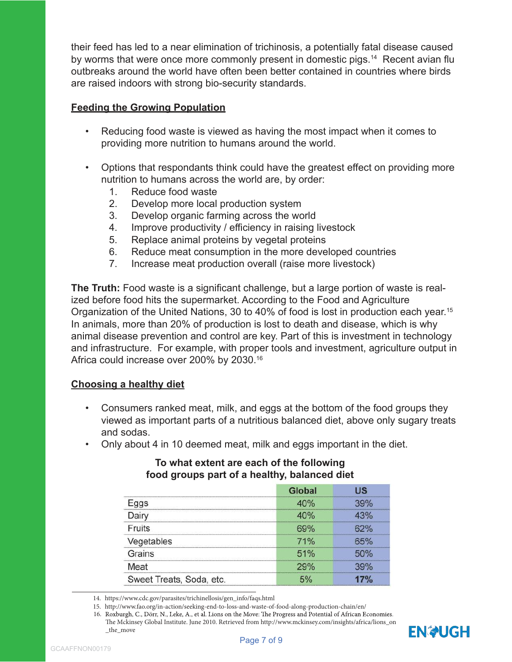their feed has led to a near elimination of trichinosis, a potentially fatal disease caused by worms that were once more commonly present in domestic pigs.<sup>14</sup> Recent avian flu outbreaks around the world have often been better contained in countries where birds are raised indoors with strong bio-security standards.

# **Feeding the Growing Population**

- Reducing food waste is viewed as having the most impact when it comes to providing more nutrition to humans around the world.
- Options that respondants think could have the greatest effect on providing more nutrition to humans across the world are, by order:
	- 1. Reduce food waste
	- 2. Develop more local production system
	- 3. Develop organic farming across the world
	- 4. Improve productivity / efficiency in raising livestock
	- 5. Replace animal proteins by vegetal proteins
	- 6. Reduce meat consumption in the more developed countries
	- 7. Increase meat production overall (raise more livestock)

**The Truth:** Food waste is a significant challenge, but a large portion of waste is realized before food hits the supermarket. According to the Food and Agriculture Organization of the United Nations, 30 to 40% of food is lost in production each year.<sup>15</sup> In animals, more than 20% of production is lost to death and disease, which is why animal disease prevention and control are key. Part of this is investment in technology and infrastructure. For example, with proper tools and investment, agriculture output in Africa could increase over 200% by 2030.<sup>16</sup>

#### **Choosing a healthy diet**

- Consumers ranked meat, milk, and eggs at the bottom of the food groups they viewed as important parts of a nutritious balanced diet, above only sugary treats and sodas.
- Only about 4 in 10 deemed meat, milk and eggs important in the diet.

#### **To what extent are each of the following food groups part of a healthy, balanced diet**

|                          | Global                 |                                       |
|--------------------------|------------------------|---------------------------------------|
|                          | $0\%$                  | ------------------------------------- |
|                          | O%                     |                                       |
| ruits                    | <br>$Q\gamma_{\alpha}$ |                                       |
| Vegetables               | 71%                    |                                       |
| Grains                   | 51%                    |                                       |
| leat                     |                        |                                       |
| Sweet Treats, Soda, etc. |                        |                                       |

<sup>14.</sup> https://www.cdc.gov/parasites/trichinellosis/gen\_info/faqs.html

<sup>15.</sup> http://www.fao.org/in-action/seeking-end-to-loss-and-waste-of-food-along-production-chain/en/

<sup>16.</sup> Roxburgh, C., Dörr, N., Leke, A., et al. Lions on the Move: The Progress and Potential of African Economies. The Mckinsey Global Institute. June 2010. Retrieved from http://www.mckinsey.com/insights/africa/lions\_on \_the\_move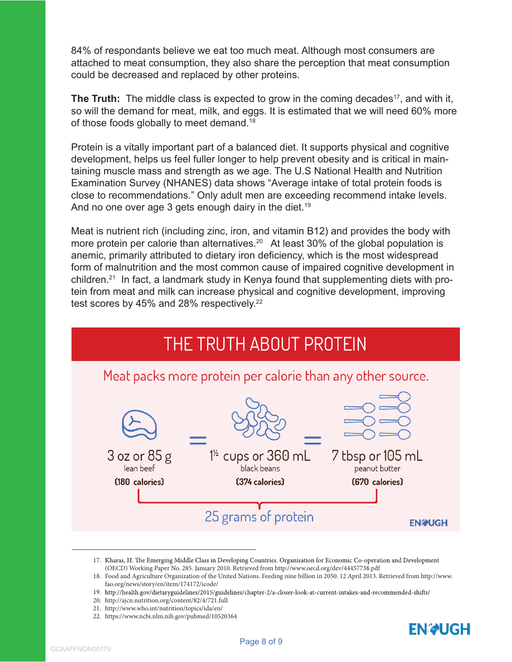84% of respondants believe we eat too much meat. Although most consumers are attached to meat consumption, they also share the perception that meat consumption could be decreased and replaced by other proteins.

**The Truth:** The middle class is expected to grow in the coming decades<sup>17</sup>, and with it, so will the demand for meat, milk, and eggs. It is estimated that we will need 60% more of those foods globally to meet demand.<sup>18</sup>

Protein is a vitally important part of a balanced diet. It supports physical and cognitive development, helps us feel fuller longer to help prevent obesity and is critical in maintaining muscle mass and strength as we age. The U.S National Health and Nutrition Examination Survey (NHANES) data shows "Average intake of total protein foods is close to recommendations." Only adult men are exceeding recommend intake levels. And no one over age 3 gets enough dairy in the diet.<sup>19</sup>

Meat is nutrient rich (including zinc, iron, and vitamin B12) and provides the body with more protein per calorie than alternatives.<sup>20</sup> At least 30% of the global population is anemic, primarily attributed to dietary iron deficiency, which is the most widespread form of malnutrition and the most common cause of impaired cognitive development in children.21 In fact, a landmark study in Kenya found that supplementing diets with protein from meat and milk can increase physical and cognitive development, improving test scores by 45% and 28% respectively.<sup>22</sup>



<sup>17.</sup> Kharas, H. The Emerging Middle Class in Developing Countries. Organisation for Economic Co-operation and Development (OECD) Working Paper No. 285. January 2010. Retrieved from http://www.oecd.org/dev/44457738.pdf

- 20. http://ajcn.nutrition.org/content/82/4/721.full
- 21. http://www.who.int/nutrition/topics/ida/en/
- 22. https://www.ncbi.nlm.nih.gov/pubmed/10520364



<sup>18.</sup> Food and Agriculture Organization of the United Nations. Feeding nine billion in 2050. 12 April 2013. Retrieved from http://www. fao.org/news/story/en/item/174172/icode/

<sup>19.</sup> http://health.gov/dietaryguidelines/2015/guidelines/chapter-2/a-closer-look-at-current-intakes-and-recommended-shifts/